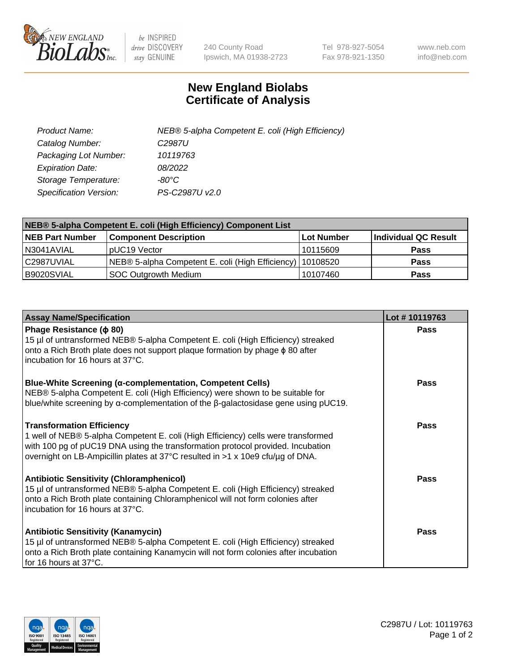

 $be$  INSPIRED drive DISCOVERY stay GENUINE

240 County Road Ipswich, MA 01938-2723 Tel 978-927-5054 Fax 978-921-1350 www.neb.com info@neb.com

## **New England Biolabs Certificate of Analysis**

| Product Name:                 | NEB® 5-alpha Competent E. coli (High Efficiency) |
|-------------------------------|--------------------------------------------------|
| Catalog Number:               | C <sub>2987</sub> U                              |
| Packaging Lot Number:         | 10119763                                         |
| <b>Expiration Date:</b>       | 08/2022                                          |
| Storage Temperature:          | -80°C                                            |
| <b>Specification Version:</b> | PS-C2987U v2.0                                   |

| NEB® 5-alpha Competent E. coli (High Efficiency) Component List |                                                             |            |                      |  |
|-----------------------------------------------------------------|-------------------------------------------------------------|------------|----------------------|--|
| <b>NEB Part Number</b>                                          | <b>Component Description</b>                                | Lot Number | Individual QC Result |  |
| N3041AVIAL                                                      | pUC19 Vector                                                | 10115609   | <b>Pass</b>          |  |
| C2987UVIAL                                                      | NEB® 5-alpha Competent E. coli (High Efficiency)   10108520 |            | <b>Pass</b>          |  |
| B9020SVIAL                                                      | SOC Outgrowth Medium                                        | 10107460   | <b>Pass</b>          |  |

| <b>Assay Name/Specification</b>                                                                                                                                                                                                                                                            | Lot #10119763 |
|--------------------------------------------------------------------------------------------------------------------------------------------------------------------------------------------------------------------------------------------------------------------------------------------|---------------|
| Phage Resistance ( $\phi$ 80)<br>15 µl of untransformed NEB® 5-alpha Competent E. coli (High Efficiency) streaked<br>onto a Rich Broth plate does not support plaque formation by phage $\phi$ 80 after<br>incubation for 16 hours at 37°C.                                                | Pass          |
| <b>Blue-White Screening (α-complementation, Competent Cells)</b><br>NEB® 5-alpha Competent E. coli (High Efficiency) were shown to be suitable for<br>blue/white screening by $\alpha$ -complementation of the $\beta$ -galactosidase gene using pUC19.                                    | Pass          |
| <b>Transformation Efficiency</b><br>1 well of NEB® 5-alpha Competent E. coli (High Efficiency) cells were transformed<br>with 100 pg of pUC19 DNA using the transformation protocol provided. Incubation<br>overnight on LB-Ampicillin plates at 37°C resulted in >1 x 10e9 cfu/µg of DNA. | <b>Pass</b>   |
| <b>Antibiotic Sensitivity (Chloramphenicol)</b><br>15 µl of untransformed NEB® 5-alpha Competent E. coli (High Efficiency) streaked<br>onto a Rich Broth plate containing Chloramphenicol will not form colonies after<br>incubation for 16 hours at 37°C.                                 | <b>Pass</b>   |
| <b>Antibiotic Sensitivity (Kanamycin)</b><br>15 µl of untransformed NEB® 5-alpha Competent E. coli (High Efficiency) streaked<br>onto a Rich Broth plate containing Kanamycin will not form colonies after incubation<br>for 16 hours at 37°C.                                             | <b>Pass</b>   |